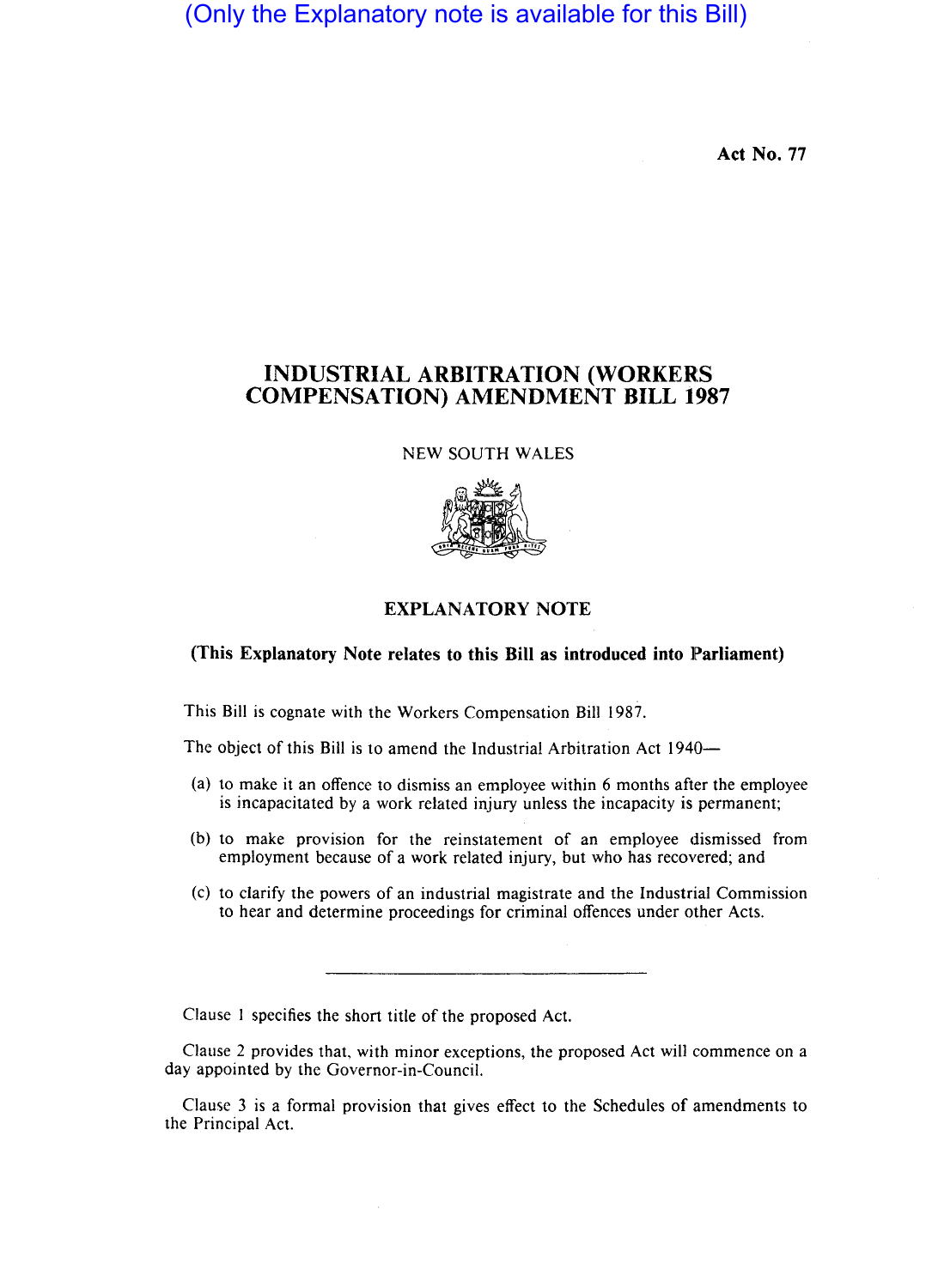(Only the Explanatory note is available for this Bill)

**Act No. 77** 

## **INDUSTRIAL ARBITRATION (WORKERS COMPENSATION) AMENDMENT BILL 1987**

NEW SOUTH WALES



## **EXPLANATORY NOTE**

## **(This Explanatory Note relates to this Bill as introduced into Parliament)**

This Bill is cognate with the Workers Compensation Bill 1987.

The object of this Bill is to amend the Industrial Arbitration Act 1940-

- (a) to make it an offence to dismiss an employee within 6 months after the employee is incapacitated by a work related injury unless the incapacity is permanent;
- (b) to make provision for the reinstatement of an employee dismissed from employment because of a work related injury, but who has recovered; and
- (c) to clarify the powers of an industrial magistrate and the Industrial Commission to hear and determine proceedings for criminal offences under other Acts.

Clause 1 specifies the short title of the proposed Act.

Clause 2 provides that, with minor exceptions, the proposed Act will commence on a day appointed by the Governor-in-Council.

Clause 3 is a formal provision that gives effect to the Schedules of amendments to the Principal Act.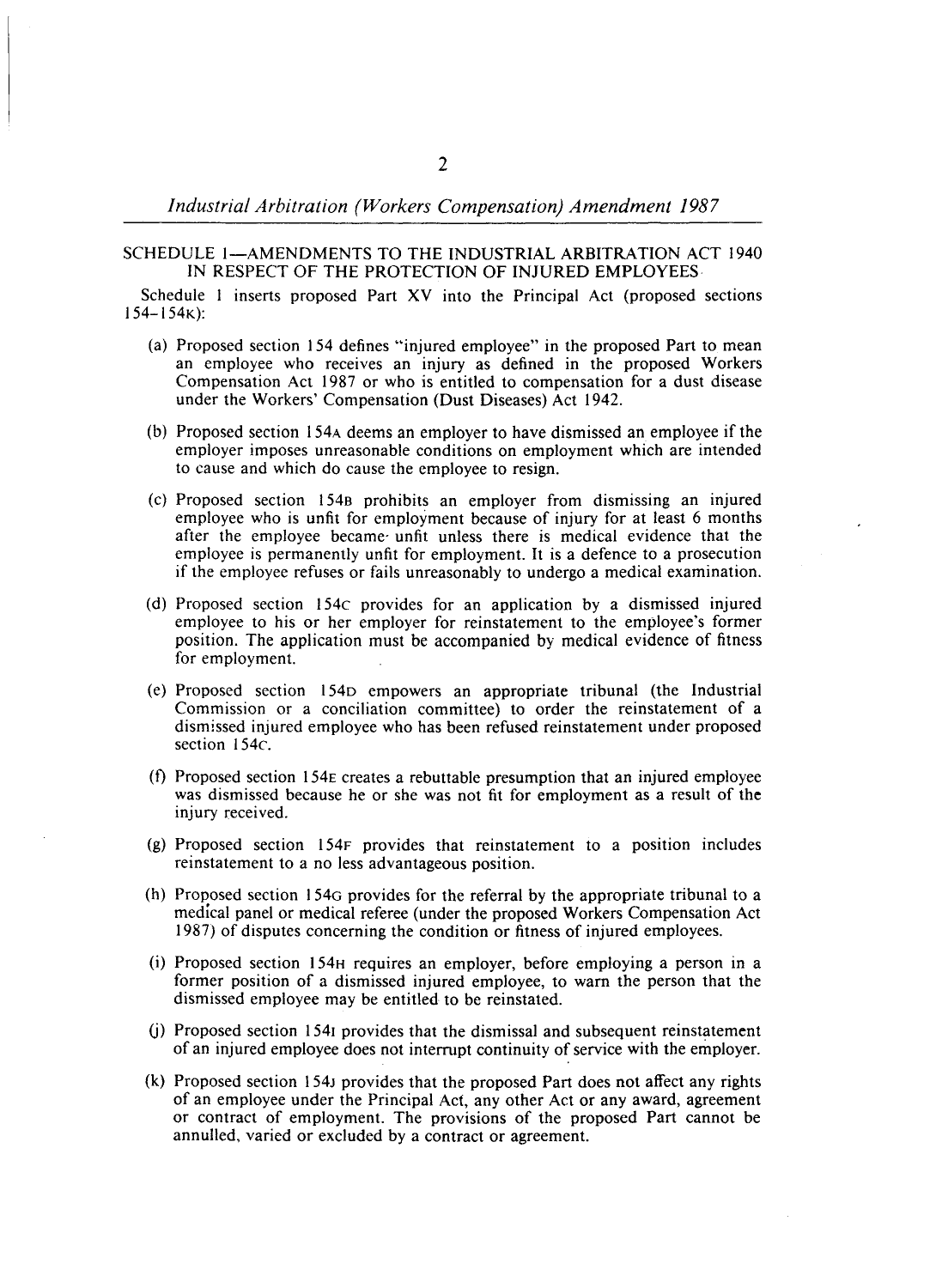## SCHEDULE I-AMENDMENTS TO THE INDUSTRIAL ARBITRATION ACT 1940 IN RESPECT OF THE PROTECTION OF INJURED EMPLOYEES

Schedule I inserts proposed Part XV into the Principal Act (proposed sections 154-154K):

- (a) Proposed section 154 defines "injured employee" in the proposed Part to mean an employee who receives an injury as defined in the proposed Workers Compensation Act 1987 or who is entitled to compensation for a dust disease under the Workers' Compensation (Dust Diseases) Act 1942.
- (b) Proposed section 154A deems an employer to have dismissed an employee if the employer imposes unreasonable conditions on employment which are intended to cause and which do cause the employee to resign.
- (c) Proposed section 1548 prohibits an employer from dismissing an injured employee who is unfit for employment because of injury for at least 6 months after the employee became' unfit unless there is medical evidence that the employee is permanently unfit for employment. It is a defence to a prosecution if the employee refuses or fails unreasonably to undergo a medical examination.
- (d) Proposed section 154c provides for an application by a dismissed injured employee to his or her employer for reinstatement to the employee's former position. The application must be accompanied by medical evidence of fitness for employment.
- (e) Proposed section 154D empowers an appropriate tribunal (the Industrial Commission or a conciliation committee) to order the reinstatement of a dismissed injured employee who has been refused reinstatement under proposed section 154c.
- (f) Proposed section 154E creates a rebuttable presumption that an injured employee was dismissed because he or she was not fit for employment as a result of the injury received.
- (g) Proposed section 154F provides that reinstatement to a position includes reinstatement to a no less advantageous position.
- (h) Proposed section 154G provides for the referral by the appropriate tribunal to a medical panel or medical referee (under the proposed Workers Compensation Act 1987) of disputes concerning the condition or fitness of injured employees.
- (i) Proposed section 154H requires an employer, before employing a person in a former position of a dismissed injured employee, to warn the person that the dismissed employee may be entitled to be reinstated.
- (j) Proposed section 1541 provides that the dismissal and subsequent reinstatement of an injured employee does not intemlpt continuity of service with the employer.
- (k) Proposed section 154J provides that the proposed Part does not affect any rights of an employee under the Principal Act, any other Act or any award, agreement or contract of employment. The provisions of the proposed Part cannot be annulled, varied or excluded by a contract or agreement.